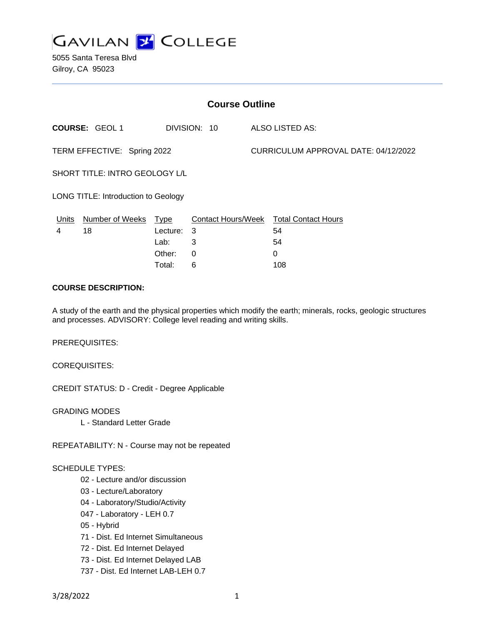

5055 Santa Teresa Blvd Gilroy, CA 95023

| <b>Course Outline</b>               |                      |          |              |  |                                        |  |
|-------------------------------------|----------------------|----------|--------------|--|----------------------------------------|--|
|                                     | <b>COURSE: GEOL1</b> |          | DIVISION: 10 |  | ALSO LISTED AS:                        |  |
| TERM EFFECTIVE: Spring 2022         |                      |          |              |  | CURRICULUM APPROVAL DATE: 04/12/2022   |  |
| SHORT TITLE: INTRO GEOLOGY L/L      |                      |          |              |  |                                        |  |
| LONG TITLE: Introduction to Geology |                      |          |              |  |                                        |  |
| Units                               | Number of Weeks Type |          |              |  | Contact Hours/Week Total Contact Hours |  |
| 4                                   | 18                   | Lecture: | 3            |  | 54                                     |  |
|                                     |                      | Lab:     | 3            |  | 54                                     |  |
|                                     |                      | Other:   | $\Omega$     |  | 0                                      |  |
|                                     |                      | Total:   | 6            |  | 108                                    |  |

#### **COURSE DESCRIPTION:**

A study of the earth and the physical properties which modify the earth; minerals, rocks, geologic structures and processes. ADVISORY: College level reading and writing skills.

PREREQUISITES:

COREQUISITES:

CREDIT STATUS: D - Credit - Degree Applicable

GRADING MODES L - Standard Letter Grade

REPEATABILITY: N - Course may not be repeated

### SCHEDULE TYPES:

- 02 Lecture and/or discussion
- 03 Lecture/Laboratory
- 04 Laboratory/Studio/Activity
- 047 Laboratory LEH 0.7
- 05 Hybrid
- 71 Dist. Ed Internet Simultaneous
- 72 Dist. Ed Internet Delayed
- 73 Dist. Ed Internet Delayed LAB
- 737 Dist. Ed Internet LAB-LEH 0.7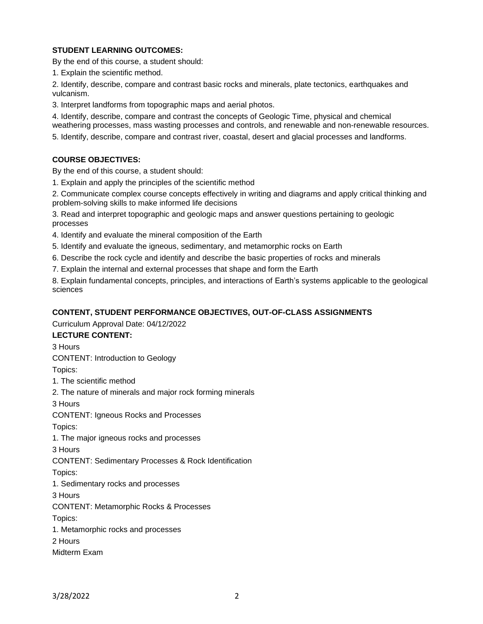# **STUDENT LEARNING OUTCOMES:**

By the end of this course, a student should:

1. Explain the scientific method.

2. Identify, describe, compare and contrast basic rocks and minerals, plate tectonics, earthquakes and vulcanism.

3. Interpret landforms from topographic maps and aerial photos.

4. Identify, describe, compare and contrast the concepts of Geologic Time, physical and chemical weathering processes, mass wasting processes and controls, and renewable and non-renewable resources.

5. Identify, describe, compare and contrast river, coastal, desert and glacial processes and landforms.

## **COURSE OBJECTIVES:**

By the end of this course, a student should:

1. Explain and apply the principles of the scientific method

2. Communicate complex course concepts effectively in writing and diagrams and apply critical thinking and problem-solving skills to make informed life decisions

3. Read and interpret topographic and geologic maps and answer questions pertaining to geologic processes

4. Identify and evaluate the mineral composition of the Earth

5. Identify and evaluate the igneous, sedimentary, and metamorphic rocks on Earth

6. Describe the rock cycle and identify and describe the basic properties of rocks and minerals

7. Explain the internal and external processes that shape and form the Earth

8. Explain fundamental concepts, principles, and interactions of Earth's systems applicable to the geological sciences

## **CONTENT, STUDENT PERFORMANCE OBJECTIVES, OUT-OF-CLASS ASSIGNMENTS**

Curriculum Approval Date: 04/12/2022

### **LECTURE CONTENT:**

3 Hours

CONTENT: Introduction to Geology

Topics:

1. The scientific method

2. The nature of minerals and major rock forming minerals

3 Hours

CONTENT: Igneous Rocks and Processes

Topics:

1. The major igneous rocks and processes

3 Hours

CONTENT: Sedimentary Processes & Rock Identification

Topics:

1. Sedimentary rocks and processes

3 Hours

CONTENT: Metamorphic Rocks & Processes

Topics:

1. Metamorphic rocks and processes

2 Hours

Midterm Exam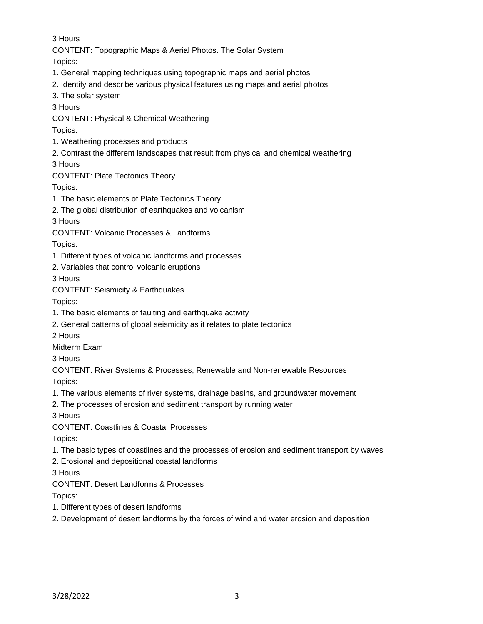3 Hours

CONTENT: Topographic Maps & Aerial Photos. The Solar System

Topics:

- 1. General mapping techniques using topographic maps and aerial photos
- 2. Identify and describe various physical features using maps and aerial photos

3. The solar system

3 Hours

CONTENT: Physical & Chemical Weathering

Topics:

1. Weathering processes and products

2. Contrast the different landscapes that result from physical and chemical weathering

3 Hours

CONTENT: Plate Tectonics Theory

Topics:

- 1. The basic elements of Plate Tectonics Theory
- 2. The global distribution of earthquakes and volcanism

3 Hours

CONTENT: Volcanic Processes & Landforms

Topics:

- 1. Different types of volcanic landforms and processes
- 2. Variables that control volcanic eruptions

3 Hours

CONTENT: Seismicity & Earthquakes

Topics:

- 1. The basic elements of faulting and earthquake activity
- 2. General patterns of global seismicity as it relates to plate tectonics
- 2 Hours

Midterm Exam

3 Hours

CONTENT: River Systems & Processes; Renewable and Non-renewable Resources

Topics:

- 1. The various elements of river systems, drainage basins, and groundwater movement
- 2. The processes of erosion and sediment transport by running water

3 Hours

CONTENT: Coastlines & Coastal Processes

Topics:

- 1. The basic types of coastlines and the processes of erosion and sediment transport by waves
- 2. Erosional and depositional coastal landforms

3 Hours

CONTENT: Desert Landforms & Processes

Topics:

- 1. Different types of desert landforms
- 2. Development of desert landforms by the forces of wind and water erosion and deposition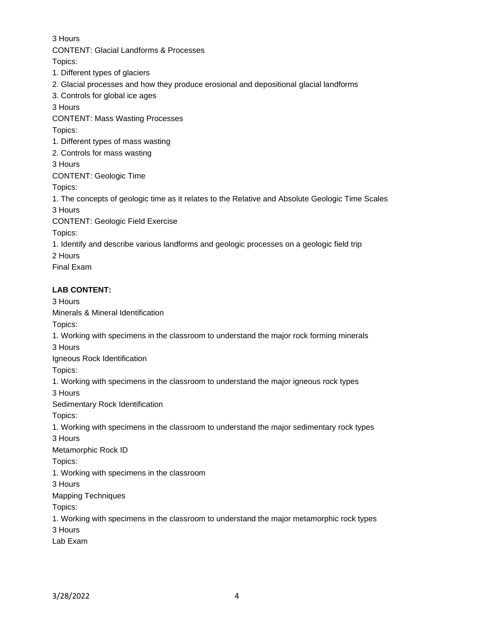3 Hours

CONTENT: Glacial Landforms & Processes

Topics:

1. Different types of glaciers

2. Glacial processes and how they produce erosional and depositional glacial landforms

3. Controls for global ice ages

3 Hours

CONTENT: Mass Wasting Processes

Topics:

1. Different types of mass wasting

2. Controls for mass wasting

3 Hours

CONTENT: Geologic Time

Topics:

1. The concepts of geologic time as it relates to the Relative and Absolute Geologic Time Scales 3 Hours

CONTENT: Geologic Field Exercise

Topics:

1. Identify and describe various landforms and geologic processes on a geologic field trip

2 Hours

Final Exam

# **LAB CONTENT:**

3 Hours

Minerals & Mineral Identification

Topics:

1. Working with specimens in the classroom to understand the major rock forming minerals

3 Hours

Igneous Rock Identification

Topics:

1. Working with specimens in the classroom to understand the major igneous rock types

3 Hours

Sedimentary Rock Identification

Topics:

1. Working with specimens in the classroom to understand the major sedimentary rock types 3 Hours

Metamorphic Rock ID

Topics:

1. Working with specimens in the classroom

3 Hours

Mapping Techniques

Topics:

1. Working with specimens in the classroom to understand the major metamorphic rock types 3 Hours

Lab Exam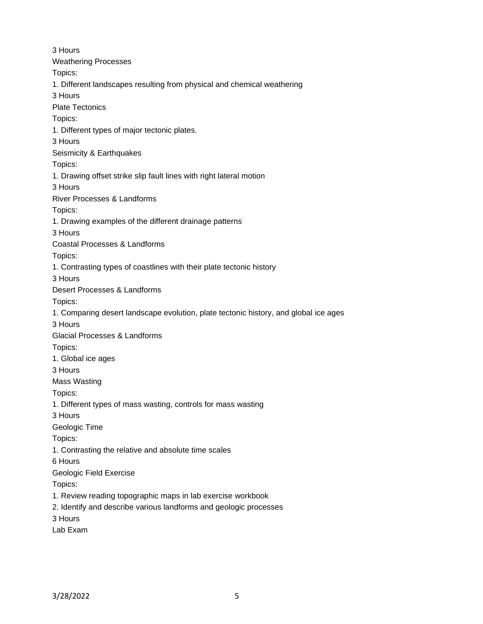3 Hours Weathering Processes Topics: 1. Different landscapes resulting from physical and chemical weathering 3 Hours Plate Tectonics Topics: 1. Different types of major tectonic plates. 3 Hours Seismicity & Earthquakes Topics: 1. Drawing offset strike slip fault lines with right lateral motion 3 Hours River Processes & Landforms Topics: 1. Drawing examples of the different drainage patterns 3 Hours Coastal Processes & Landforms Topics: 1. Contrasting types of coastlines with their plate tectonic history 3 Hours Desert Processes & Landforms Topics: 1. Comparing desert landscape evolution, plate tectonic history, and global ice ages 3 Hours Glacial Processes & Landforms Topics: 1. Global ice ages 3 Hours Mass Wasting Topics: 1. Different types of mass wasting, controls for mass wasting 3 Hours Geologic Time Topics: 1. Contrasting the relative and absolute time scales 6 Hours Geologic Field Exercise Topics: 1. Review reading topographic maps in lab exercise workbook 2. Identify and describe various landforms and geologic processes 3 Hours Lab Exam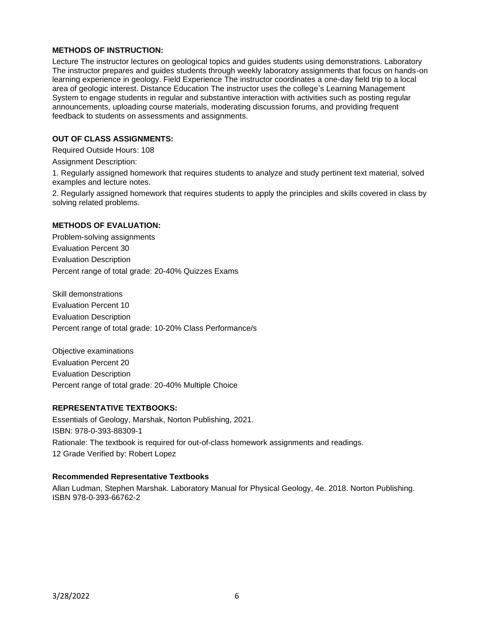# **METHODS OF INSTRUCTION:**

Lecture The instructor lectures on geological topics and guides students using demonstrations. Laboratory The instructor prepares and guides students through weekly laboratory assignments that focus on hands-on learning experience in geology. Field Experience The instructor coordinates a one-day field trip to a local area of geologic interest. Distance Education The instructor uses the college's Learning Management System to engage students in regular and substantive interaction with activities such as posting regular announcements, uploading course materials, moderating discussion forums, and providing frequent feedback to students on assessments and assignments.

# **OUT OF CLASS ASSIGNMENTS:**

Required Outside Hours: 108

Assignment Description:

1. Regularly assigned homework that requires students to analyze and study pertinent text material, solved examples and lecture notes.

2. Regularly assigned homework that requires students to apply the principles and skills covered in class by solving related problems.

### **METHODS OF EVALUATION:**

Problem-solving assignments Evaluation Percent 30 Evaluation Description Percent range of total grade: 20-40% Quizzes Exams

Skill demonstrations Evaluation Percent 10 Evaluation Description Percent range of total grade: 10-20% Class Performance/s

Objective examinations Evaluation Percent 20 Evaluation Description Percent range of total grade: 20-40% Multiple Choice

## **REPRESENTATIVE TEXTBOOKS:**

Essentials of Geology, Marshak, Norton Publishing, 2021. ISBN: 978-0-393-88309-1 Rationale: The textbook is required for out-of-class homework assignments and readings. 12 Grade Verified by: Robert Lopez

### **Recommended Representative Textbooks**

Allan Ludman, Stephen Marshak. Laboratory Manual for Physical Geology, 4e. 2018. Norton Publishing. ISBN 978-0-393-66762-2